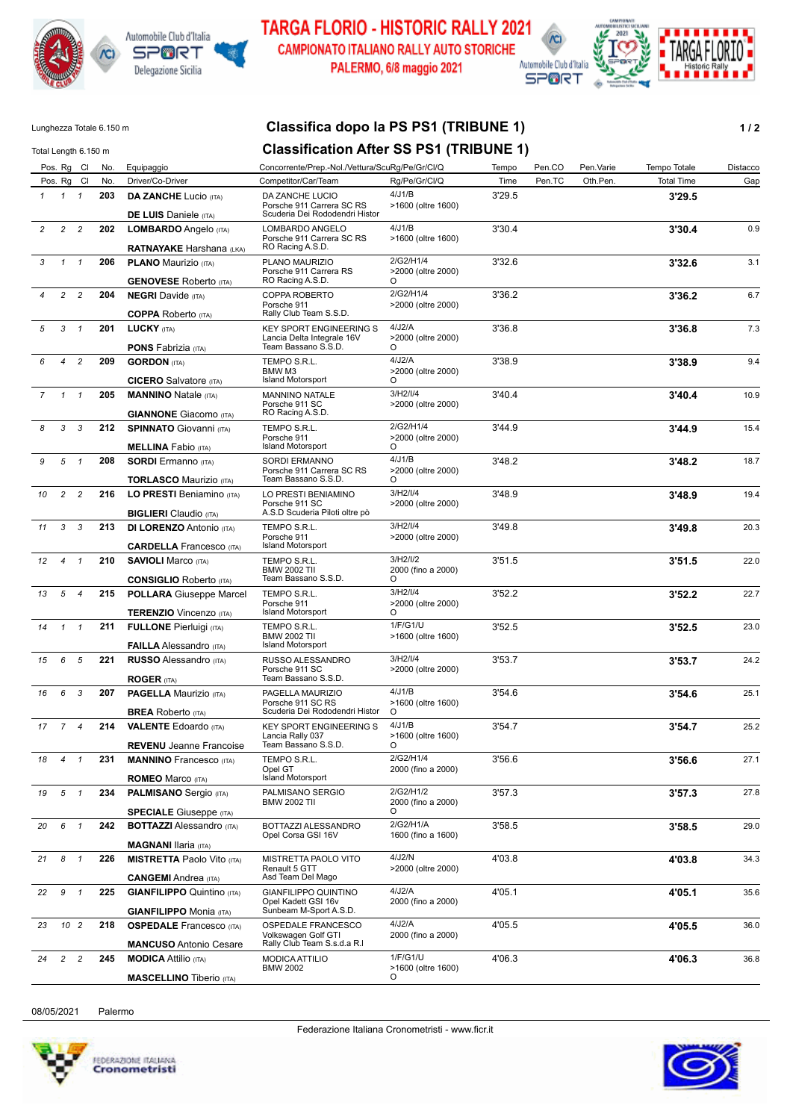



**TARGA FLORIO - HISTORIC RALLY 2021** CAMPIONATO ITALIANO RALLY AUTO STORICHE PALERMO, 6/8 maggio 2021



## Lunghezza Totale 6.150 m **Classifica dopo la PS PS1 (TRIBUNE 1) 1 / 2**

| Total Length 6.150 m |                |                 |     |                                                                  | <b>Classification After SS PS1 (TRIBUNE 1)</b>                                      |                                         |        |        |           |                   |          |
|----------------------|----------------|-----------------|-----|------------------------------------------------------------------|-------------------------------------------------------------------------------------|-----------------------------------------|--------|--------|-----------|-------------------|----------|
|                      |                | Pos. Rg Cl      | No. | Equipaggio                                                       | Concorrente/Prep.-Nol./Vettura/ScuRg/Pe/Gr/Cl/Q                                     |                                         | Tempo  | Pen.CO | Pen.Varie | Tempo Totale      | Distacco |
|                      |                | Pos. Rg Cl      | No. | Driver/Co-Driver                                                 | Competitor/Car/Team                                                                 | Rg/Pe/Gr/Cl/Q                           | Time   | Pen.TC | Oth.Pen.  | <b>Total Time</b> | Gap      |
| $\mathbf{1}$         |                | $1 \quad 1$     | 203 | <b>DA ZANCHE Lucio (ITA)</b>                                     | DA ZANCHE LUCIO<br>Porsche 911 Carrera SC RS<br>Scuderia Dei Rododendri Histor      | 4/J1/B<br>>1600 (oltre 1600)            | 3'29.5 |        |           | 3'29.5            |          |
| $\overline{c}$       | $\overline{c}$ | $\overline{c}$  | 202 | <b>DE LUIS</b> Daniele (ITA)                                     |                                                                                     | 4/J1/B                                  | 3'30.4 |        |           |                   |          |
|                      |                |                 |     | LOMBARDO Angelo (ITA)<br><b>RATNAYAKE Harshana (LKA)</b>         | LOMBARDO ANGELO<br>Porsche 911 Carrera SC RS<br>RO Racing A.S.D.                    | >1600 (oltre 1600)                      |        |        |           | 3'30.4            | 0.9      |
| 3                    | $\mathcal{I}$  | $\overline{1}$  | 206 | <b>PLANO Maurizio (ITA)</b>                                      | PLANO MAURIZIO<br>Porsche 911 Carrera RS<br>RO Racing A.S.D.                        | 2/G2/H1/4<br>>2000 (oltre 2000)         | 3'32.6 |        |           | 3'32.6            | 3.1      |
|                      |                |                 |     | <b>GENOVESE Roberto (ITA)</b>                                    |                                                                                     | O<br>2/G2/H1/4                          |        |        |           |                   |          |
|                      | $\overline{2}$ | $\overline{c}$  | 204 | <b>NEGRI</b> Davide (ITA)<br><b>COPPA Roberto (ITA)</b>          | COPPA ROBERTO<br>Porsche 911<br>Rally Club Team S.S.D.                              | >2000 (oltre 2000)                      | 3'36.2 |        |           | 3'36.2            | 6.7      |
| 5                    | 3              | $\mathbf{1}$    | 201 | <b>LUCKY (ITA)</b><br><b>PONS Fabrizia (ITA)</b>                 | <b>KEY SPORT ENGINEERING S</b><br>Lancia Delta Integrale 16V<br>Team Bassano S.S.D. | 4/J2/A<br>>2000 (oltre 2000)<br>$\circ$ | 3'36.8 |        |           | 3'36.8            | 7.3      |
| 6                    | 4              | $\overline{c}$  | 209 | <b>GORDON</b> (ITA)                                              | TEMPO S.R.L.                                                                        | 4/J2/A                                  | 3'38.9 |        |           | 3'38.9            | 9.4      |
|                      |                |                 |     | <b>CICERO</b> Salvatore (ITA)                                    | BMW M3<br><b>Island Motorsport</b>                                                  | >2000 (oltre 2000)<br>$\circ$           |        |        |           |                   |          |
| $\overline{7}$       |                | $1 \quad 1$     | 205 | <b>MANNINO Natale (ITA)</b>                                      | MANNINO NATALE                                                                      | 3/H2/I/4                                | 3'40.4 |        |           | 3'40.4            | 10.9     |
|                      |                |                 |     | <b>GIANNONE</b> Giacomo (ITA)                                    | Porsche 911 SC<br>RO Racing A.S.D.                                                  | >2000 (oltre 2000)                      |        |        |           |                   |          |
| 8                    | 3              | 3               | 212 | <b>SPINNATO</b> Giovanni (ITA)                                   | TEMPO S.R.L.                                                                        | 2/G2/H1/4                               | 3'44.9 |        |           | 3'44.9            | 15.4     |
|                      |                |                 |     | <b>MELLINA</b> Fabio (ITA)                                       | Porsche 911<br><b>Island Motorsport</b>                                             | >2000 (oltre 2000)<br>O                 |        |        |           |                   |          |
| 9                    | 5              | $\overline{1}$  | 208 | <b>SORDI</b> Ermanno (ITA)                                       | <b>SORDI ERMANNO</b>                                                                | 4/J1/B                                  | 3'48.2 |        |           | 3'48.2            | 18.7     |
|                      |                |                 |     | <b>TORLASCO Maurizio (ITA)</b>                                   | Porsche 911 Carrera SC RS<br>Team Bassano S.S.D.                                    | >2000 (oltre 2000)<br>O                 |        |        |           |                   |          |
| 10                   | 2              | $\overline{c}$  | 216 | LO PRESTI Beniamino (ITA)                                        | LO PRESTI BENIAMINO                                                                 | 3/H2/I/4                                | 3'48.9 |        |           | 3'48.9            | 19.4     |
|                      |                |                 |     | <b>BIGLIERI</b> Claudio (ITA)                                    | Porsche 911 SC<br>A.S.D Scuderia Piloti oltre pò                                    | >2000 (oltre 2000)                      |        |        |           |                   |          |
| 11                   | 3              | 3               | 213 | <b>DI LORENZO Antonio (ITA)</b>                                  | TEMPO S.R.L.                                                                        | 3/H2/I/4                                | 3'49.8 |        |           | 3'49.8            | 20.3     |
|                      |                |                 |     | <b>CARDELLA Francesco (ITA)</b>                                  | Porsche 911<br><b>Island Motorsport</b>                                             | >2000 (oltre 2000)                      |        |        |           |                   |          |
| 12                   | $\overline{4}$ | $\mathbf{1}$    | 210 | <b>SAVIOLI Marco (ITA)</b>                                       | TEMPO S.R.L.                                                                        | 3/H2/I/2                                | 3'51.5 |        |           | 3'51.5            | 22.0     |
|                      |                |                 |     |                                                                  | <b>BMW 2002 TII</b><br>Team Bassano S.S.D.                                          | 2000 (fino a 2000)                      |        |        |           |                   |          |
|                      |                |                 |     | <b>CONSIGLIO</b> Roberto (ITA)                                   |                                                                                     | O                                       |        |        |           |                   |          |
| 13                   |                | 5 <sub>4</sub>  | 215 | <b>POLLARA</b> Giuseppe Marcel<br><b>TERENZIO Vincenzo (ITA)</b> | TEMPO S.R.L.<br>Porsche 911<br><b>Island Motorsport</b>                             | 3/H2/I/4<br>>2000 (oltre 2000)<br>O     | 3'52.2 |        |           | 3'52.2            | 22.7     |
| 14                   | $\mathbf{1}$   | $\overline{1}$  | 211 | <b>FULLONE</b> Pierluigi (ITA)                                   | TEMPO S.R.L.                                                                        | 1/F/G1/U                                | 3'52.5 |        |           | 3'52.5            | 23.0     |
|                      |                |                 |     | <b>FAILLA</b> Alessandro (ITA)                                   | <b>BMW 2002 TII</b><br><b>Island Motorsport</b>                                     | >1600 (oltre 1600)                      |        |        |           |                   |          |
| 15                   | 6              | 5               | 221 | <b>RUSSO Alessandro (ITA)</b>                                    | RUSSO ALESSANDRO                                                                    | 3/H2/I/4                                | 3'53.7 |        |           | 3'53.7            | 24.2     |
|                      |                |                 |     | <b>ROGER (ITA)</b>                                               | Porsche 911 SC<br>Team Bassano S.S.D.                                               | >2000 (oltre 2000)                      |        |        |           |                   |          |
| 16                   | 6              | 3               | 207 | <b>PAGELLA Maurizio (ITA)</b>                                    | PAGELLA MAURIZIO                                                                    | 4/J1/B                                  | 3'54.6 |        |           | 3'54.6            | 25.1     |
|                      |                |                 |     |                                                                  | Porsche 911 SC RS<br>Scuderia Dei Rododendri Histor                                 | >1600 (oltre 1600)<br>O                 |        |        |           |                   |          |
| 17                   | $7^{\circ}$    | $\overline{4}$  | 214 | <b>BREA Roberto (ITA)</b>                                        |                                                                                     | 4/J1/B                                  | 3'54.7 |        |           |                   | 25.2     |
|                      |                |                 |     | <b>VALENTE Edoardo</b> (ITA)                                     | <b>KEY SPORT ENGINEERING S</b><br>Lancia Rally 037<br>Team Bassano S.S.D.           | >1600 (oltre 1600)<br>O                 |        |        |           | 3'54.7            |          |
|                      |                | $\mathbf{1}$    |     | <b>REVENU</b> Jeanne Francoise                                   |                                                                                     | 2/G2/H1/4                               | 3'56.6 |        |           |                   | 27.1     |
| 18                   | 4              |                 | 231 | <b>MANNINO</b> Francesco (ITA)<br><b>ROMEO</b> Marco (ITA)       | TEMPO S.R.L.<br>Opel GT<br>Island Motorsport                                        | 2000 (fino a 2000)                      |        |        |           | 3'56.6            |          |
|                      |                |                 |     |                                                                  |                                                                                     | 2/G2/H1/2                               |        |        |           |                   |          |
| 19                   |                | $5 \quad 1$     | 234 | <b>PALMISANO</b> Sergio (ITA)<br><b>SPECIALE</b> Giuseppe (ITA)  | PALMISANO SERGIO<br><b>BMW 2002 TII</b>                                             | 2000 (fino a 2000)<br>$\circ$           | 3'57.3 |        |           | 3'57.3            | 27.8     |
| 20                   |                | 6 1             | 242 | <b>BOTTAZZI</b> Alessandro (ITA)                                 | BOTTAZZI ALESSANDRO                                                                 | 2/G2/H1/A                               | 3'58.5 |        |           | 3'58.5            | 29.0     |
|                      |                |                 |     | <b>MAGNANI Ilaria</b> (ITA)                                      | Opel Corsa GSI 16V                                                                  | 1600 (fino a 1600)                      |        |        |           |                   |          |
| 21                   |                | 8 1             | 226 | <b>MISTRETTA Paolo Vito (ITA)</b>                                | MISTRETTA PAOLO VITO                                                                | 4/J2/N                                  | 4'03.8 |        |           | 4'03.8            | 34.3     |
|                      |                |                 |     | <b>CANGEMI</b> Andrea (ITA)                                      | Renault 5 GTT<br>Asd Team Del Mago                                                  | >2000 (oltre 2000)                      |        |        |           |                   |          |
| 22                   | 9              | $\mathbf{1}$    | 225 | <b>GIANFILIPPO Quintino (ITA)</b>                                | GIANFILIPPO QUINTINO                                                                | 4/J2/A                                  | 4'05.1 |        |           | 4'05.1            | 35.6     |
|                      |                |                 |     | <b>GIANFILIPPO</b> Monia (ITA)                                   | Opel Kadett GSI 16v<br>Sunbeam M-Sport A.S.D.                                       | 2000 (fino a 2000)                      |        |        |           |                   |          |
| 23                   |                | 10 <sub>2</sub> | 218 | <b>OSPEDALE</b> Francesco (ITA)                                  | OSPEDALE FRANCESCO                                                                  | 4/J2/A                                  | 4'05.5 |        |           | 4'05.5            | 36.0     |
|                      |                |                 |     | <b>MANCUSO</b> Antonio Cesare                                    | Volkswagen Golf GTI<br>Rally Club Team S.s.d.a R.I                                  | 2000 (fino a 2000)                      |        |        |           |                   |          |
| 24                   | $\overline{2}$ | $\overline{c}$  | 245 | <b>MODICA</b> Attilio (ITA)                                      | MODICA ATTILIO                                                                      | 1/F/G1/U                                | 4'06.3 |        |           | 4'06.3            | 36.8     |
|                      |                |                 |     | <b>MASCELLINO Tiberio (ITA)</b>                                  | <b>BMW 2002</b>                                                                     | >1600 (oltre 1600)<br>O                 |        |        |           |                   |          |

08/05/2021 Palermo